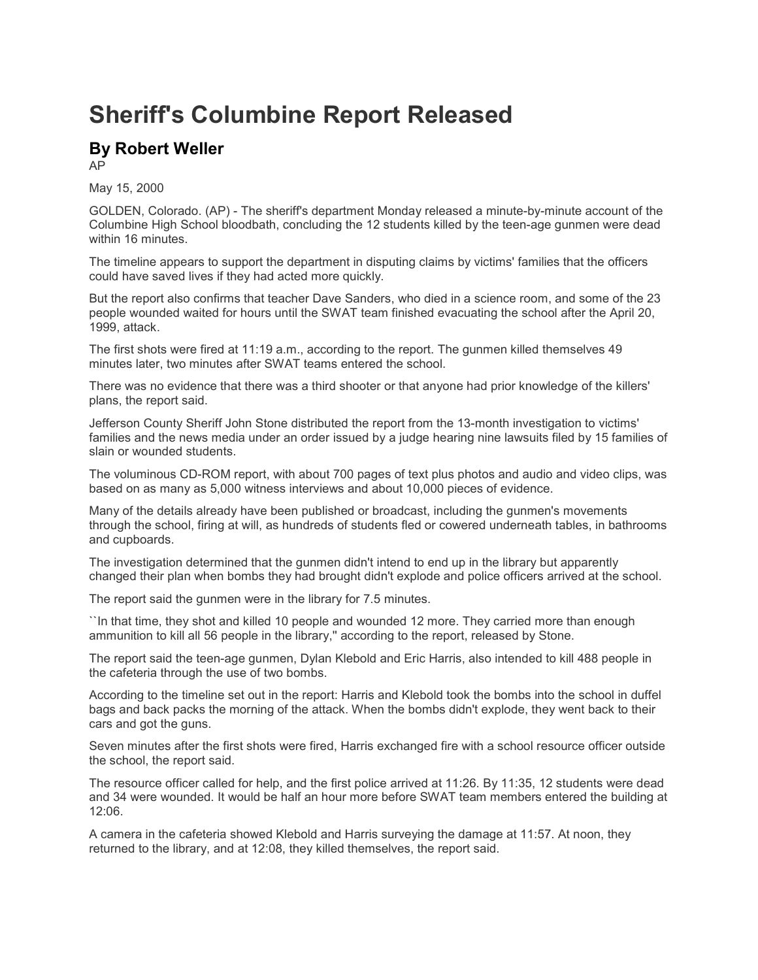## **Sheriff's Columbine Report Released**

## **By Robert Weller**

AP

May 15, 2000

GOLDEN, Colorado. (AP) - The sheriff's department Monday released a minute-by-minute account of the Columbine High School bloodbath, concluding the 12 students killed by the teen-age gunmen were dead within 16 minutes.

The timeline appears to support the department in disputing claims by victims' families that the officers could have saved lives if they had acted more quickly.

But the report also confirms that teacher Dave Sanders, who died in a science room, and some of the 23 people wounded waited for hours until the SWAT team finished evacuating the school after the April 20, 1999, attack.

The first shots were fired at 11:19 a.m., according to the report. The gunmen killed themselves 49 minutes later, two minutes after SWAT teams entered the school.

There was no evidence that there was a third shooter or that anyone had prior knowledge of the killers' plans, the report said.

Jefferson County Sheriff John Stone distributed the report from the 13-month investigation to victims' families and the news media under an order issued by a judge hearing nine lawsuits filed by 15 families of slain or wounded students.

The voluminous CD-ROM report, with about 700 pages of text plus photos and audio and video clips, was based on as many as 5,000 witness interviews and about 10,000 pieces of evidence.

Many of the details already have been published or broadcast, including the gunmen's movements through the school, firing at will, as hundreds of students fled or cowered underneath tables, in bathrooms and cupboards.

The investigation determined that the gunmen didn't intend to end up in the library but apparently changed their plan when bombs they had brought didn't explode and police officers arrived at the school.

The report said the gunmen were in the library for 7.5 minutes.

``In that time, they shot and killed 10 people and wounded 12 more. They carried more than enough ammunition to kill all 56 people in the library,'' according to the report, released by Stone.

The report said the teen-age gunmen, Dylan Klebold and Eric Harris, also intended to kill 488 people in the cafeteria through the use of two bombs.

According to the timeline set out in the report: Harris and Klebold took the bombs into the school in duffel bags and back packs the morning of the attack. When the bombs didn't explode, they went back to their cars and got the guns.

Seven minutes after the first shots were fired, Harris exchanged fire with a school resource officer outside the school, the report said.

The resource officer called for help, and the first police arrived at 11:26. By 11:35, 12 students were dead and 34 were wounded. It would be half an hour more before SWAT team members entered the building at 12:06.

A camera in the cafeteria showed Klebold and Harris surveying the damage at 11:57. At noon, they returned to the library, and at 12:08, they killed themselves, the report said.